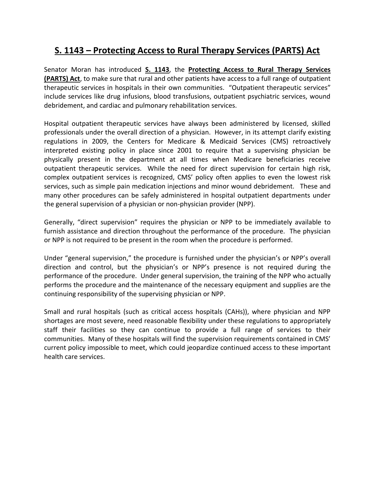## **S. 1143 – Protecting Access to Rural Therapy Services (PARTS) Act**

Senator Moran has introduced **S. 1143**, the **Protecting Access to Rural Therapy Services (PARTS) Act**, to make sure that rural and other patients have access to a full range of outpatient therapeutic services in hospitals in their own communities. "Outpatient therapeutic services" include services like drug infusions, blood transfusions, outpatient psychiatric services, wound debridement, and cardiac and pulmonary rehabilitation services.

Hospital outpatient therapeutic services have always been administered by licensed, skilled professionals under the overall direction of a physician. However, in its attempt clarify existing regulations in 2009, the Centers for Medicare & Medicaid Services (CMS) retroactively interpreted existing policy in place since 2001 to require that a supervising physician be physically present in the department at all times when Medicare beneficiaries receive outpatient therapeutic services. While the need for direct supervision for certain high risk, complex outpatient services is recognized, CMS' policy often applies to even the lowest risk services, such as simple pain medication injections and minor wound debridement. These and many other procedures can be safely administered in hospital outpatient departments under the general supervision of a physician or non-physician provider (NPP).

Generally, "direct supervision" requires the physician or NPP to be immediately available to furnish assistance and direction throughout the performance of the procedure. The physician or NPP is not required to be present in the room when the procedure is performed.

Under "general supervision," the procedure is furnished under the physician's or NPP's overall direction and control, but the physician's or NPP's presence is not required during the performance of the procedure. Under general supervision, the training of the NPP who actually performs the procedure and the maintenance of the necessary equipment and supplies are the continuing responsibility of the supervising physician or NPP.

Small and rural hospitals (such as critical access hospitals (CAHs)), where physician and NPP shortages are most severe, need reasonable flexibility under these regulations to appropriately staff their facilities so they can continue to provide a full range of services to their communities. Many of these hospitals will find the supervision requirements contained in CMS' current policy impossible to meet, which could jeopardize continued access to these important health care services.